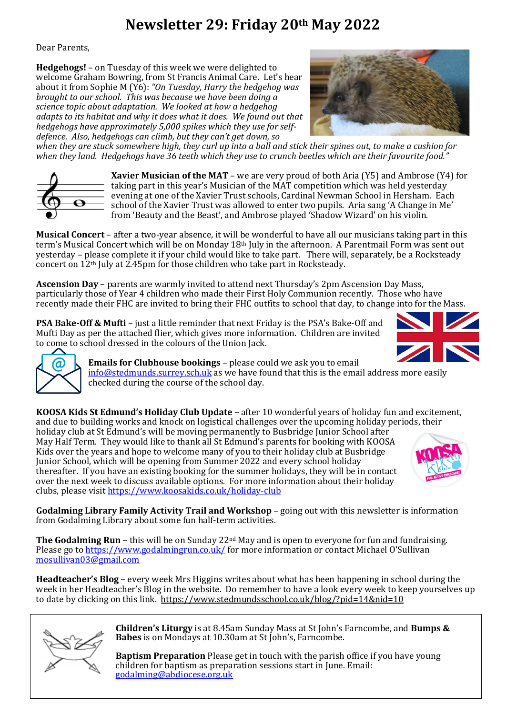## **Newsletter 29: Friday 20th May 2022**

Dear Parents,

**Hedgehogs!** – on Tuesday of this week we were delighted to welcome Graham Bowring, from St Francis Animal Care. Let's hear about it from Sophie M (Y6): *"On Tuesday, Harry the hedgehog was brought to our school. This was because we have been doing a science topic about adaptation. We looked at how a hedgehog adapts to its habitat and why it does what it does. We found out that hedgehogs have approximately 5,000 spikes which they use for selfdefence. Also, hedgehogs can climb, but they can't get down, so* 



*when they are stuck somewhere high, they curl up into a ball and stick their spines out, to make a cushion for when they land. Hedgehogs have 36 teeth which they use to crunch beetles which are their favourite food."*



**Xavier Musician of the MAT** – we are very proud of both Aria (Y5) and Ambrose (Y4) for taking part in this year's Musician of the MAT competition which was held yesterday evening at one of the Xavier Trust schools, Cardinal Newman School in Hersham. Each school of the Xavier Trust was allowed to enter two pupils. Aria sang 'A Change in Me' from 'Beauty and the Beast', and Ambrose played 'Shadow Wizard' on his violin.

**Musical Concert** – after a two-year absence, it will be wonderful to have all our musicians taking part in this term's Musical Concert which will be on Monday 18th July in the afternoon. A Parentmail Form was sent out yesterday – please complete it if your child would like to take part. There will, separately, be a Rocksteady concert on 12th July at 2.45pm for those children who take part in Rocksteady.

**Ascension Day** – parents are warmly invited to attend next Thursday's 2pm Ascension Day Mass, particularly those of Year 4 children who made their First Holy Communion recently. Those who have recently made their FHC are invited to bring their FHC outfits to school that day, to change into for the Mass.

**PSA Bake-Off & Mufti** – just a little reminder that next Friday is the PSA's Bake-Off and Mufti Day as per the attached flier, which gives more information. Children are invited to come to school dressed in the colours of the Union Jack.





**Emails for Clubhouse bookings** – please could we ask you to email [info@stedmunds.surrey.sch.uk](mailto:info@stedmunds.surrey.sch.uk) as we have found that this is the email address more easily checked during the course of the school day.

**KOOSA Kids St Edmund's Holiday Club Update** – after 10 wonderful years of holiday fun and excitement, and due to building works and knock on logistical challenges over the upcoming holiday periods, their

holiday club at St Edmund's will be moving permanently to Busbridge Junior School after May Half Term. They would like to thank all St Edmund's parents for booking with KOOSA Kids over the years and hope to welcome many of you to their holiday club at Busbridge Junior School, which will be opening from Summer 2022 and every school holiday thereafter. If you have an existing booking for the summer holidays, they will be in contact over the next week to discuss available options. For more information about their holiday clubs, please visit<https://www.koosakids.co.uk/holiday-club>



**Godalming Library Family Activity Trail and Workshop** – going out with this newsletter is information from Godalming Library about some fun half-term activities.

**The Godalming Run** – this will be on Sunday 22<sup>nd</sup> May and is open to everyone for fun and fundraising. Please go t[o https://www.godalmingrun.co.uk/](https://www.godalmingrun.co.uk/) for more information or contact Michael O'Sullivan [mosullivan03@gmail.com](mailto:mosullivan03@gmail.com)

**Headteacher's Blog** – every week Mrs Higgins writes about what has been happening in school during the week in her Headteacher's Blog in the website. Do remember to have a look every week to keep yourselves up to date by clicking on this link.<https://www.stedmundsschool.co.uk/blog/?pid=14&nid=10>



**Children's Liturgy** is at 8.45am Sunday Mass at St John's Farncombe, and **Bumps & Babes** is on Mondays at 10.30am at St John's, Farncombe.

**Baptism Preparation** Please get in touch with the parish office if you have young children for baptism as preparation sessions start in June. Email: [godalming@abdiocese.org.uk](mailto:godalming@abdiocese.org.uk)